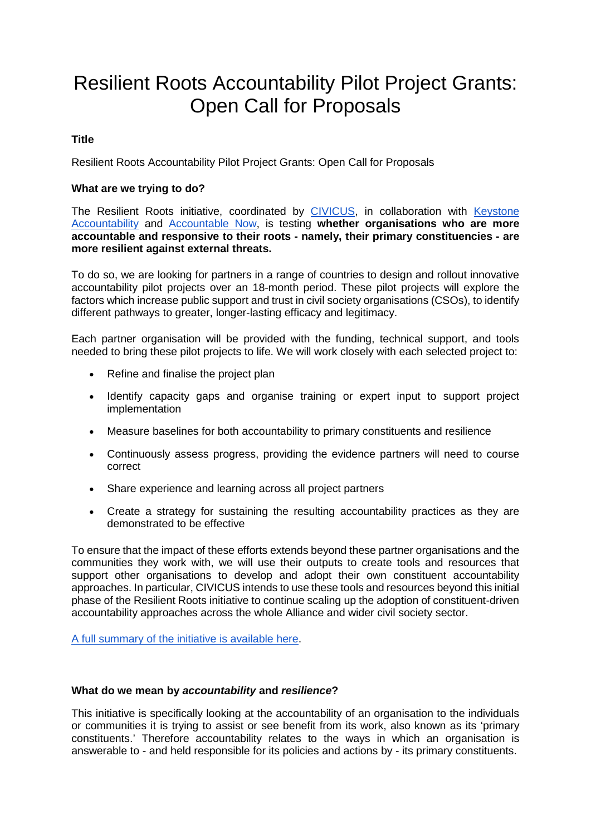# Resilient Roots Accountability Pilot Project Grants: Open Call for Proposals

# **Title**

Resilient Roots Accountability Pilot Project Grants: Open Call for Proposals

### **What are we trying to do?**

The Resilient Roots initiative, coordinated by [CIVICUS,](https://www.civicus.org/) in collaboration with Keystone [Accountability](https://keystoneaccountability.org/) and [Accountable Now,](https://accountablenow.org/) is testing **whether organisations who are more accountable and responsive to their roots - namely, their primary constituencies - are more resilient against external threats.**

To do so, we are looking for partners in a range of countries to design and rollout innovative accountability pilot projects over an 18-month period. These pilot projects will explore the factors which increase public support and trust in civil society organisations (CSOs), to identify different pathways to greater, longer-lasting efficacy and legitimacy.

Each partner organisation will be provided with the funding, technical support, and tools needed to bring these pilot projects to life. We will work closely with each selected project to:

- Refine and finalise the project plan
- Identify capacity gaps and organise training or expert input to support project implementation
- Measure baselines for both accountability to primary constituents and resilience
- Continuously assess progress, providing the evidence partners will need to course correct
- Share experience and learning across all project partners
- Create a strategy for sustaining the resulting accountability practices as they are demonstrated to be effective

To ensure that the impact of these efforts extends beyond these partner organisations and the communities they work with, we will use their outputs to create tools and resources that support other organisations to develop and adopt their own constituent accountability approaches. In particular, CIVICUS intends to use these tools and resources beyond this initial phase of the Resilient Roots initiative to continue scaling up the adoption of constituent-driven accountability approaches across the whole Alliance and wider civil society sector.

[A full summary of the initiative is available here.](https://www.civicus.org/documents/resilient-roots-summary-jan18.pdf)

#### **What do we mean by** *accountability* **and** *resilience***?**

This initiative is specifically looking at the accountability of an organisation to the individuals or communities it is trying to assist or see benefit from its work, also known as its 'primary constituents.' Therefore accountability relates to the ways in which an organisation is answerable to - and held responsible for its policies and actions by - its primary constituents.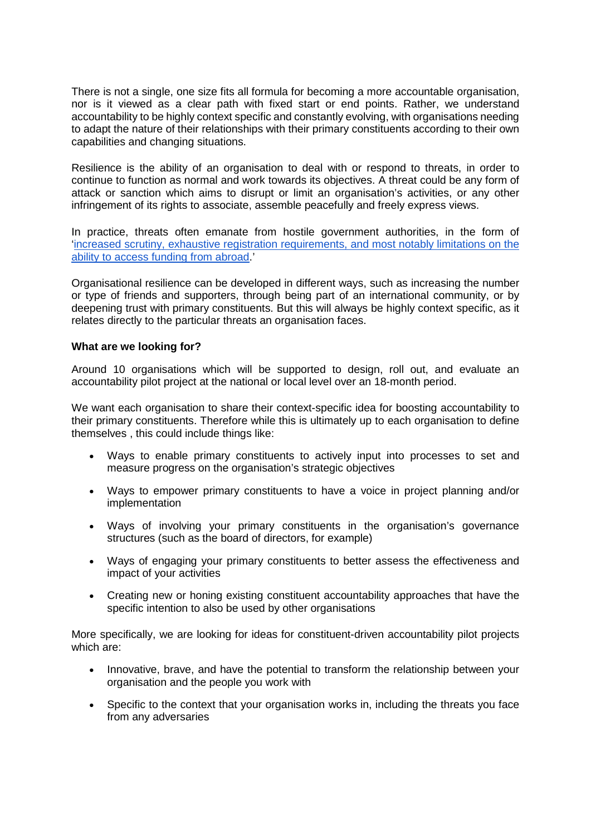There is not a single, one size fits all formula for becoming a more accountable organisation, nor is it viewed as a clear path with fixed start or end points. Rather, we understand accountability to be highly context specific and constantly evolving, with organisations needing to adapt the nature of their relationships with their primary constituents according to their own capabilities and changing situations.

Resilience is the ability of an organisation to deal with or respond to threats, in order to continue to function as normal and work towards its objectives. A threat could be any form of attack or sanction which aims to disrupt or limit an organisation's activities, or any other infringement of its rights to associate, assemble peacefully and freely express views.

In practice, threats often emanate from hostile government authorities, in the form of ['increased scrutiny, exhaustive registration requirements, and most notably limitations on the](https://docs.google.com/file/d/0B9s5MpW0FM0GQWQxRk9OeE13YnM/view)  [ability to access funding from abroad.](https://docs.google.com/file/d/0B9s5MpW0FM0GQWQxRk9OeE13YnM/view)'

Organisational resilience can be developed in different ways, such as increasing the number or type of friends and supporters, through being part of an international community, or by deepening trust with primary constituents. But this will always be highly context specific, as it relates directly to the particular threats an organisation faces.

#### **What are we looking for?**

Around 10 organisations which will be supported to design, roll out, and evaluate an accountability pilot project at the national or local level over an 18-month period.

We want each organisation to share their context-specific idea for boosting accountability to their primary constituents. Therefore while this is ultimately up to each organisation to define themselves , this could include things like:

- Ways to enable primary constituents to actively input into processes to set and measure progress on the organisation's strategic objectives
- Ways to empower primary constituents to have a voice in project planning and/or implementation
- Ways of involving your primary constituents in the organisation's governance structures (such as the board of directors, for example)
- Ways of engaging your primary constituents to better assess the effectiveness and impact of your activities
- Creating new or honing existing constituent accountability approaches that have the specific intention to also be used by other organisations

More specifically, we are looking for ideas for constituent-driven accountability pilot projects which are:

- Innovative, brave, and have the potential to transform the relationship between your organisation and the people you work with
- Specific to the context that your organisation works in, including the threats you face from any adversaries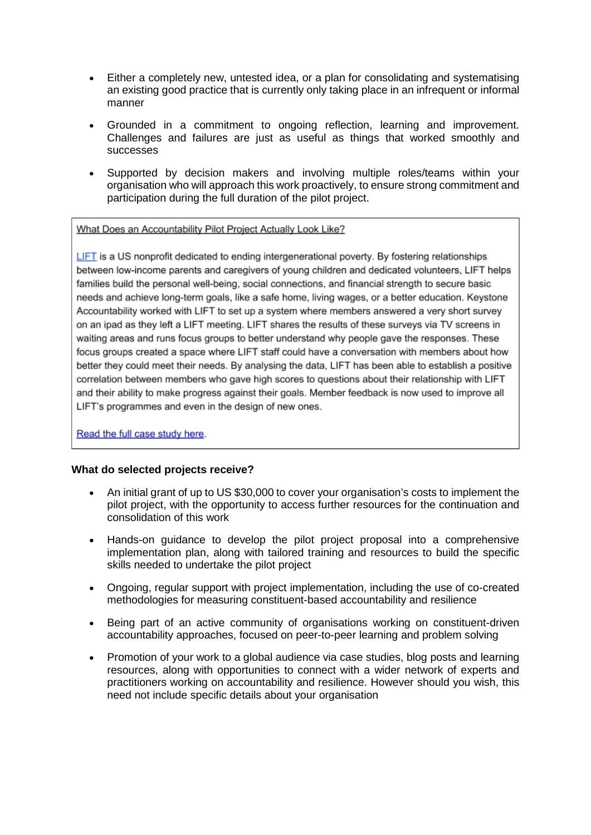- Either a completely new, untested idea, or a plan for consolidating and systematising an existing good practice that is currently only taking place in an infrequent or informal manner
- Grounded in a commitment to ongoing reflection, learning and improvement. Challenges and failures are just as useful as things that worked smoothly and successes
- Supported by decision makers and involving multiple roles/teams within your organisation who will approach this work proactively, to ensure strong commitment and participation during the full duration of the pilot project.

What Does an Accountability Pilot Project Actually Look Like?

LIFT is a US nonprofit dedicated to ending intergenerational poverty. By fostering relationships between low-income parents and caregivers of young children and dedicated volunteers. LIFT helps families build the personal well-being, social connections, and financial strength to secure basic needs and achieve long-term goals, like a safe home, living wages, or a better education. Keystone Accountability worked with LIFT to set up a system where members answered a very short survey on an ipad as they left a LIFT meeting. LIFT shares the results of these surveys via TV screens in waiting areas and runs focus groups to better understand why people gave the responses. These focus groups created a space where LIFT staff could have a conversation with members about how better they could meet their needs. By analysing the data, LIFT has been able to establish a positive correlation between members who gave high scores to questions about their relationship with LIFT and their ability to make progress against their goals. Member feedback is now used to improve all LIFT's programmes and even in the design of new ones.

Read the full case study here.

## **What do selected projects receive?**

- An initial grant of up to US \$30,000 to cover your organisation's costs to implement the pilot project, with the opportunity to access further resources for the continuation and consolidation of this work
- Hands-on guidance to develop the pilot project proposal into a comprehensive implementation plan, along with tailored training and resources to build the specific skills needed to undertake the pilot project
- Ongoing, regular support with project implementation, including the use of co-created methodologies for measuring constituent-based accountability and resilience
- Being part of an active community of organisations working on constituent-driven accountability approaches, focused on peer-to-peer learning and problem solving
- Promotion of your work to a global audience via case studies, blog posts and learning resources, along with opportunities to connect with a wider network of experts and practitioners working on accountability and resilience. However should you wish, this need not include specific details about your organisation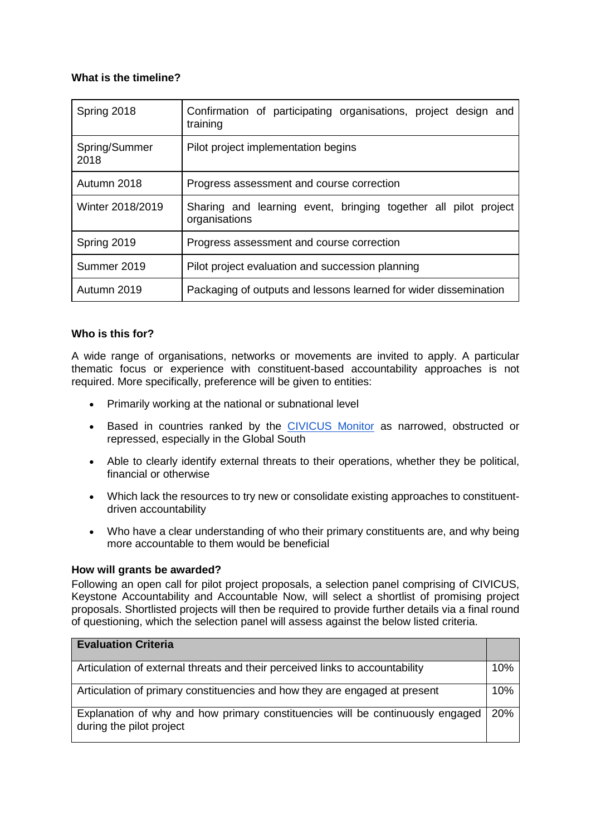# **What is the timeline?**

| Spring 2018           | Confirmation of participating organisations, project design and<br>training      |
|-----------------------|----------------------------------------------------------------------------------|
| Spring/Summer<br>2018 | Pilot project implementation begins                                              |
| Autumn 2018           | Progress assessment and course correction                                        |
| Winter 2018/2019      | Sharing and learning event, bringing together all pilot project<br>organisations |
| Spring 2019           | Progress assessment and course correction                                        |
| Summer 2019           | Pilot project evaluation and succession planning                                 |
| Autumn 2019           | Packaging of outputs and lessons learned for wider dissemination                 |

# **Who is this for?**

A wide range of organisations, networks or movements are invited to apply. A particular thematic focus or experience with constituent-based accountability approaches is not required. More specifically, preference will be given to entities:

- Primarily working at the national or subnational level
- Based in countries ranked by the [CIVICUS Monitor](https://monitor.civicus.org/) as narrowed, obstructed or repressed, especially in the Global South
- Able to clearly identify external threats to their operations, whether they be political, financial or otherwise
- Which lack the resources to try new or consolidate existing approaches to constituentdriven accountability
- Who have a clear understanding of who their primary constituents are, and why being more accountable to them would be beneficial

## **How will grants be awarded?**

Following an open call for pilot project proposals, a selection panel comprising of CIVICUS, Keystone Accountability and Accountable Now, will select a shortlist of promising project proposals. Shortlisted projects will then be required to provide further details via a final round of questioning, which the selection panel will assess against the below listed criteria.

| <b>Evaluation Criteria</b>                                                                                 |  |
|------------------------------------------------------------------------------------------------------------|--|
| Articulation of external threats and their perceived links to accountability                               |  |
| Articulation of primary constituencies and how they are engaged at present                                 |  |
| Explanation of why and how primary constituencies will be continuously engaged<br>during the pilot project |  |